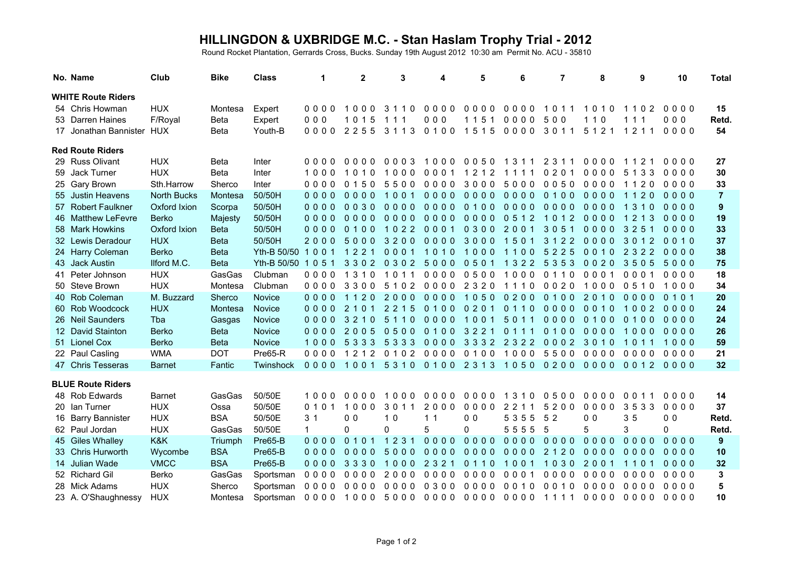## **HILLINGDON & UXBRIDGE M.C. - Stan Haslam Trophy Trial - 2012** Round Rocket Plantation, Gerrards Cross, Bucks. Sunday 19th August 2012 10:30 am Permit No. ACU - 35810

| No. Name                  | Club               | <b>Bike</b> | <b>Class</b>        | 1              | $\mathbf{2}$   | 3        | 4              | 5                                       | 6         | $\overline{7}$ | 8              | 9         | 10             | <b>Total</b>   |
|---------------------------|--------------------|-------------|---------------------|----------------|----------------|----------|----------------|-----------------------------------------|-----------|----------------|----------------|-----------|----------------|----------------|
| <b>WHITE Route Riders</b> |                    |             |                     |                |                |          |                |                                         |           |                |                |           |                |                |
| 54 Chris Howman           | <b>HUX</b>         | Montesa     | Expert              | 0000           | 1000           | 3110     | 0000           | 0000                                    | 0000      | 1011           | 1010           | 1102      | 0000           | 15             |
| 53 Darren Haines          | F/Royal            | <b>Beta</b> | Expert              | 000            | 1015           | 111      | 000            | 1151                                    | 0000      | 500            | 1 1 0          | 11<br>-1  | 000            | Retd.          |
| 17 Jonathan Bannister HUX |                    | <b>Beta</b> | Youth-B             | 0000           | 2255           | 3 1 1 3  | 0100           | 1515                                    | 0000      | 3011           | 5 1 2 1        | 1211      | 0000           | 54             |
| <b>Red Route Riders</b>   |                    |             |                     |                |                |          |                |                                         |           |                |                |           |                |                |
| 29 Russ Olivant           | <b>HUX</b>         | Beta        | Inter               | 0000           | 0000           | 0003     | 1000           |                                         | 00501311  | 2 3 1 1        | 0000           | 1121      | 0000           | 27             |
| 59 Jack Turner            | <b>HUX</b>         | Beta        | Inter               | 1000           | 1010           | 1000     | 0001           | 1212                                    | 1111      | 0 2 0 1        | 0000           | 5 1 3 3   | 0000           | 30             |
| 25 Gary Brown             | Sth.Harrow         | Sherco      | Inter               | $0000$         | 0, 1, 5, 0     | 5500     | 0000           | 3000                                    | 5000      | 0050           | 0000           | 1120      | 0000           | 33             |
| 55 Justin Heavens         | <b>North Bucks</b> | Montesa     | 50/50H              | $0000$         | $0000$         | 1001     | $0000$         | $0000$                                  | $0000$    | 0100           | $0000$         | 1120      | $0000$         | $\overline{7}$ |
| 57 Robert Faulkner        | Oxford Ixion       | Scorpa      | 50/50H              | 0000           | $0030$         | $0000$   | $0000$         | 0100                                    | $0000$    | $0000$         | $0000$         | 1 3 1 0   | $0000$         | $\overline{9}$ |
| 46 Matthew LeFevre        | Berko              | Majesty     | 50/50H              | $0000$         | $0000$         | $0000$   | 0000 0000      |                                         | 0512      | 1012           | $0000$         | 1213      | 0000           | 19             |
| 58 Mark Howkins           | Oxford Ixion       | <b>Beta</b> | 50/50H              | $0000$         | 0100           | 1022     | 0001           | 0300 2001                               |           | 3051           | 0000           | 3 2 5     | $0000$         | 33             |
| 32 Lewis Deradour         | <b>HUX</b>         | <b>Beta</b> | 50/50H              | 2000           | 5000           | 3200     | 0000           | 3000                                    | 1501      | 3 1 2 2        | $0000$         | 3012      | 0010           | 37             |
| 24 Harry Coleman          | <b>Berko</b>       | <b>Beta</b> | Yth-B 50/50 1 0 0 1 |                | 1221           | 0001     | 1010           | 1000                                    | 1100      | 5225           | 0010           | 2 3 2 2   | $0000$         | 38             |
| 43 Jack Austin            | Ilford M.C.        | <b>Beta</b> | Yth-B 50/50 1 0 5 1 |                | 3302           | 0 3 0 2  | 5000           | 0501                                    | 1322 5353 |                | 0020           | 3505      | 5000           | 75             |
| 41 Peter Johnson          | <b>HUX</b>         | GasGas      | Clubman             | 0000           | 1310           | 1011     | 0000           | 0500                                    | 1000      | 0110           | 0001           | 0001      | 0000           | 18             |
| 50 Steve Brown            | <b>HUX</b>         | Montesa     | Clubman             | 0000           | 3300           | 5 1 0 2  | 0000           | 2 3 2 0                                 | 1110      | 0020           | 1000           | 0510      | 1000           | 34             |
| 40 Rob Coleman            | M. Buzzard         | Sherco      | <b>Novice</b>       | $0000$         | 1120           | 2000     | $0000$         | 1050                                    | 0200      | 0100           | 2010           | $0000$    | 0101           | 20             |
| 60 Rob Woodcock           | <b>HUX</b>         | Montesa     | <b>Novice</b>       | $0000$         | 2 1 0 1        | 2 2 1 5  | 0100           | 0201                                    | 0110      | $0000$         | 0010           | 1002      | $0000$         | 24             |
| 26 Neil Saunders          | Tba                | Gasgas      | Novice              | 0000           | 3210           | 5110     | 0000           | 1001                                    | 5011      | $0000$         | 0100           | 0100      | 0000           | 24             |
| 12 David Stainton         | Berko              | <b>Beta</b> | Novice              | $0000$         | 2005           | 0500     | 0100           | 3 2 2 1                                 | 0111      | 0100           | 0000           | 1000      | $0000$         | 26             |
| 51 Lionel Cox             | <b>Berko</b>       | <b>Beta</b> | Novice              | 1000           | 5 3 3 3        | 5 3 3 3  |                | 0000 3332 2322                          |           | 0002           | 3010           | 1011      | 1000           | 59             |
| 22 Paul Casling           | <b>WMA</b>         | <b>DOT</b>  | Pre65-R             | 0000           | 1212 0102      |          | 0000 0100      |                                         | 1000 5500 |                | 0000           | 0000      | 0000           | 21<br>32       |
| 47 Chris Tesseras         | <b>Barnet</b>      | Fantic      | Twinshock           | 0000 1001      |                |          |                | 5310 0100 2313 1050 0200 0000 0012 0000 |           |                |                |           |                |                |
| <b>BLUE Route Riders</b>  |                    |             |                     |                |                |          |                |                                         |           |                |                |           |                |                |
| 48 Rob Edwards            | <b>Barnet</b>      | GasGas      | 50/50E              | 1000           | 0000           | 1000     | 0000           | 0000                                    | 1310      | 0500           | 0000           | 0011      | 0000           | 14             |
| 20 Ian Turner             | <b>HUX</b>         | Ossa        | 50/50E              | 0101           | 1000           | 3011     | 2000           | 0000                                    | 2 2 1 1   | 5200           | 0000           | 3533      | 0000           | 37             |
| 16 Barry Bannister        | <b>HUX</b>         | <b>BSA</b>  | 50/50E              | 3 <sub>1</sub> | 0 <sub>0</sub> | 10       | 1 <sub>1</sub> | 0 <sub>0</sub>                          | 5 3 5 5   | 5 2            | 0 <sub>0</sub> | 35        | 0 <sub>0</sub> | Retd.          |
| 62 Paul Jordan            | <b>HUX</b>         | GasGas      | 50/50E              | $\mathbf{1}$   | 0              | $\Omega$ | 5              | 0                                       | 5555      | 5              | 5              | 3         | $\Omega$       | Retd.          |
| 45 Giles Whalley          | K&K                | Triumph     | Pre65-B             | $0000$         | 0101           | 1231     | $0000$         | $0000$                                  | 0000 0000 |                | $0000$         | 0000      | $0000$         | 9              |
| 33 Chris Hurworth         | Wycombe            | <b>BSA</b>  | Pre65-B             | $0000$         | $0000$         | 5000     | $0000$         | $0000$                                  | 0000 2120 |                | $0000$         | 0000      | 0000           | 10             |
| 14 Julian Wade            | <b>VMCC</b>        | <b>BSA</b>  | Pre65-B             | $0000$         | 3330           | 1000     | 2 3 2 1        | 0110                                    | 1001      | 1030           | 2001           | 1101      | $0000$         | 32             |
| 52 Richard Gil            | Berko              | GasGas      | Sportsman           | 0000           | 0000           | 2000     | 0000           | 0000                                    | 0001      | 0000           | 0000           | 0000      | 0000           | 3              |
| 28 Mick Adams             | <b>HUX</b>         | Sherco      | Sportsman           | 0000           | 0000           | 0000     | 0300           | 0000                                    | 0010      | 0010           | 0000           | 0000      | 0000           | 5              |
| 23 A. O'Shaughnessy       | <b>HUX</b>         | Montesa     | Sportsman           |                | 0000 1000 5000 |          |                | 0000 0000 0000 1111                     |           |                | 0000           | 0000 0000 |                | 10             |